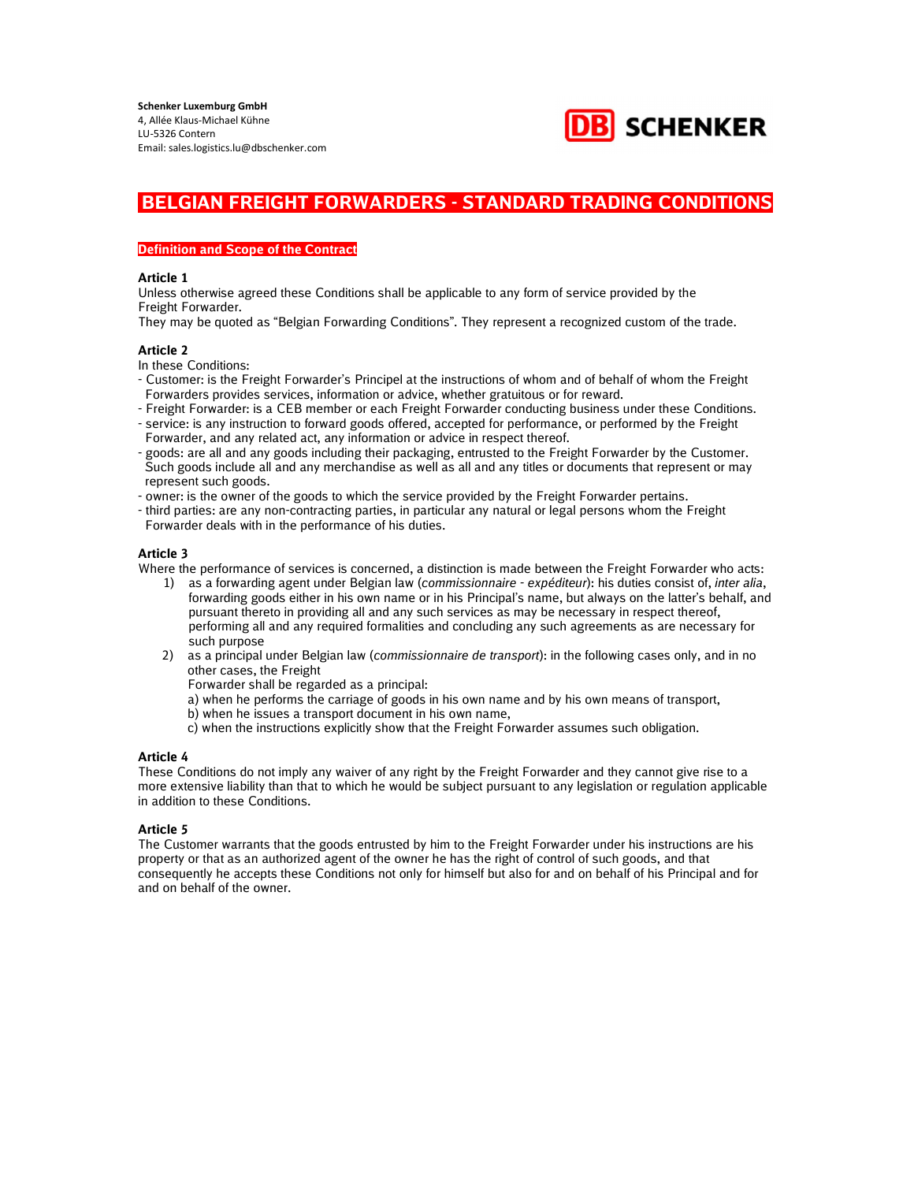

## Definition and Scope of the Contract

#### Article 1

Unless otherwise agreed these Conditions shall be applicable to any form of service provided by the Freight Forwarder.

They may be quoted as "Belgian Forwarding Conditions". They represent a recognized custom of the trade.

## Article 2

In these Conditions:

- Customer: is the Freight Forwarder's Principel at the instructions of whom and of behalf of whom the Freight Forwarders provides services, information or advice, whether gratuitous or for reward.
- Freight Forwarder: is a CEB member or each Freight Forwarder conducting business under these Conditions.
- service: is any instruction to forward goods offered, accepted for performance, or performed by the Freight Forwarder, and any related act, any information or advice in respect thereof.
- goods: are all and any goods including their packaging, entrusted to the Freight Forwarder by the Customer. Such goods include all and any merchandise as well as all and any titles or documents that represent or may represent such goods.
- owner: is the owner of the goods to which the service provided by the Freight Forwarder pertains.
- third parties: are any non-contracting parties, in particular any natural or legal persons whom the Freight Forwarder deals with in the performance of his duties.

## Article 3

Where the performance of services is concerned, a distinction is made between the Freight Forwarder who acts:

- 1) as a forwarding agent under Belgian law (commissionnaire expéditeur): his duties consist of, inter alia, forwarding goods either in his own name or in his Principal's name, but always on the latter's behalf, and pursuant thereto in providing all and any such services as may be necessary in respect thereof, performing all and any required formalities and concluding any such agreements as are necessary for such purpose
- 2) as a principal under Belgian law (commissionnaire de transport): in the following cases only, and in no other cases, the Freight
	- Forwarder shall be regarded as a principal:
	- a) when he performs the carriage of goods in his own name and by his own means of transport,
	- b) when he issues a transport document in his own name,
	- c) when the instructions explicitly show that the Freight Forwarder assumes such obligation.

## Article 4

These Conditions do not imply any waiver of any right by the Freight Forwarder and they cannot give rise to a more extensive liability than that to which he would be subject pursuant to any legislation or regulation applicable in addition to these Conditions.

## Article 5

The Customer warrants that the goods entrusted by him to the Freight Forwarder under his instructions are his property or that as an authorized agent of the owner he has the right of control of such goods, and that consequently he accepts these Conditions not only for himself but also for and on behalf of his Principal and for and on behalf of the owner.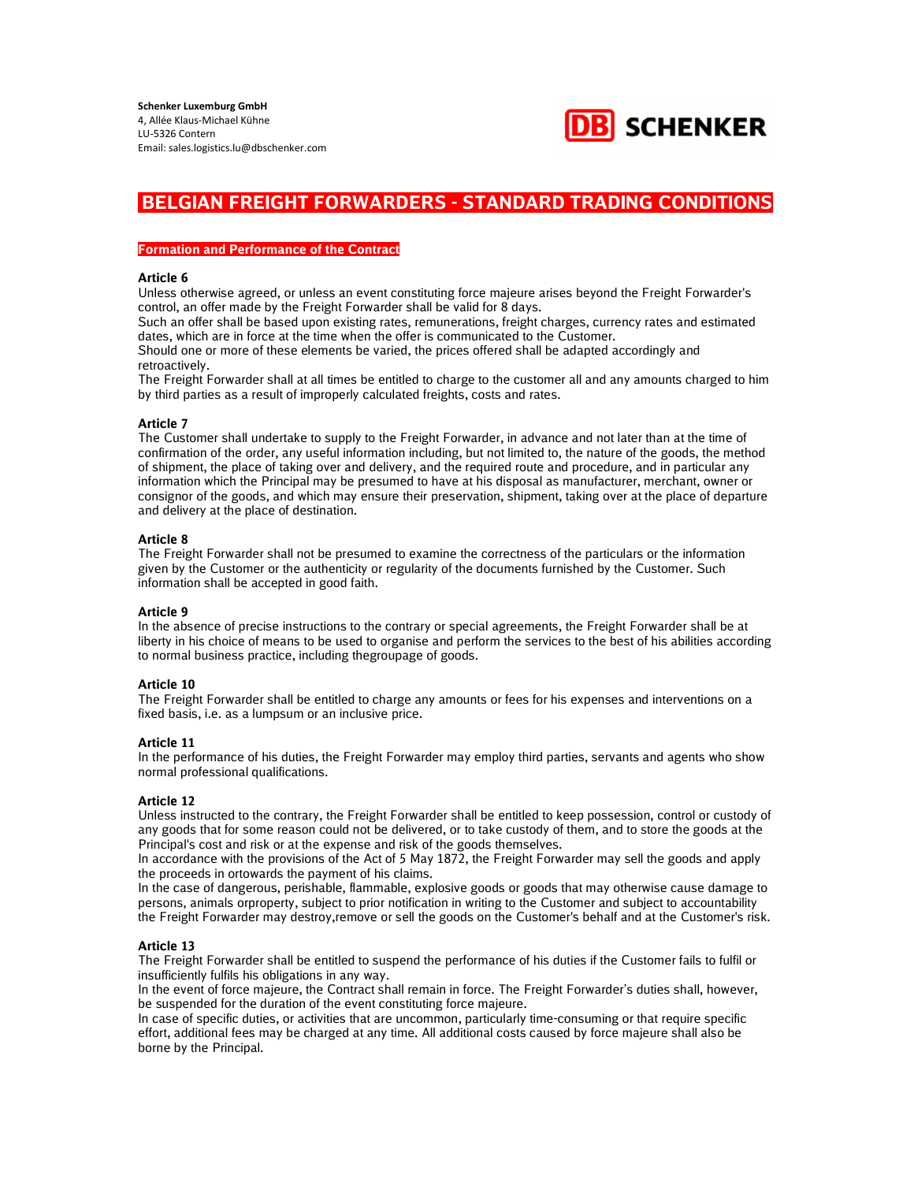

#### Formation and Performance of the Contract

#### Article 6

Unless otherwise agreed, or unless an event constituting force majeure arises beyond the Freight Forwarder's control, an offer made by the Freight Forwarder shall be valid for 8 days.

Such an offer shall be based upon existing rates, remunerations, freight charges, currency rates and estimated dates, which are in force at the time when the offer is communicated to the Customer.

Should one or more of these elements be varied, the prices offered shall be adapted accordingly and retroactively.

The Freight Forwarder shall at all times be entitled to charge to the customer all and any amounts charged to him by third parties as a result of improperly calculated freights, costs and rates.

## Article 7

The Customer shall undertake to supply to the Freight Forwarder, in advance and not later than at the time of confirmation of the order, any useful information including, but not limited to, the nature of the goods, the method of shipment, the place of taking over and delivery, and the required route and procedure, and in particular any information which the Principal may be presumed to have at his disposal as manufacturer, merchant, owner or consignor of the goods, and which may ensure their preservation, shipment, taking over at the place of departure and delivery at the place of destination.

## Article 8

The Freight Forwarder shall not be presumed to examine the correctness of the particulars or the information given by the Customer or the authenticity or regularity of the documents furnished by the Customer. Such information shall be accepted in good faith.

## Article 9

In the absence of precise instructions to the contrary or special agreements, the Freight Forwarder shall be at liberty in his choice of means to be used to organise and perform the services to the best of his abilities according to normal business practice, including thegroupage of goods.

## Article 10

The Freight Forwarder shall be entitled to charge any amounts or fees for his expenses and interventions on a fixed basis, i.e. as a lumpsum or an inclusive price.

## Article 11

In the performance of his duties, the Freight Forwarder may employ third parties, servants and agents who show normal professional qualifications.

## Article 12

Unless instructed to the contrary, the Freight Forwarder shall be entitled to keep possession, control or custody of any goods that for some reason could not be delivered, or to take custody of them, and to store the goods at the Principal's cost and risk or at the expense and risk of the goods themselves.

In accordance with the provisions of the Act of 5 May 1872, the Freight Forwarder may sell the goods and apply the proceeds in ortowards the payment of his claims.

In the case of dangerous, perishable, flammable, explosive goods or goods that may otherwise cause damage to persons, animals orproperty, subject to prior notification in writing to the Customer and subject to accountability the Freight Forwarder may destroy,remove or sell the goods on the Customer's behalf and at the Customer's risk.

## Article 13

The Freight Forwarder shall be entitled to suspend the performance of his duties if the Customer fails to fulfil or insufficiently fulfils his obligations in any way.

In the event of force majeure, the Contract shall remain in force. The Freight Forwarder's duties shall, however, be suspended for the duration of the event constituting force majeure.

In case of specific duties, or activities that are uncommon, particularly time-consuming or that require specific effort, additional fees may be charged at any time. All additional costs caused by force majeure shall also be borne by the Principal.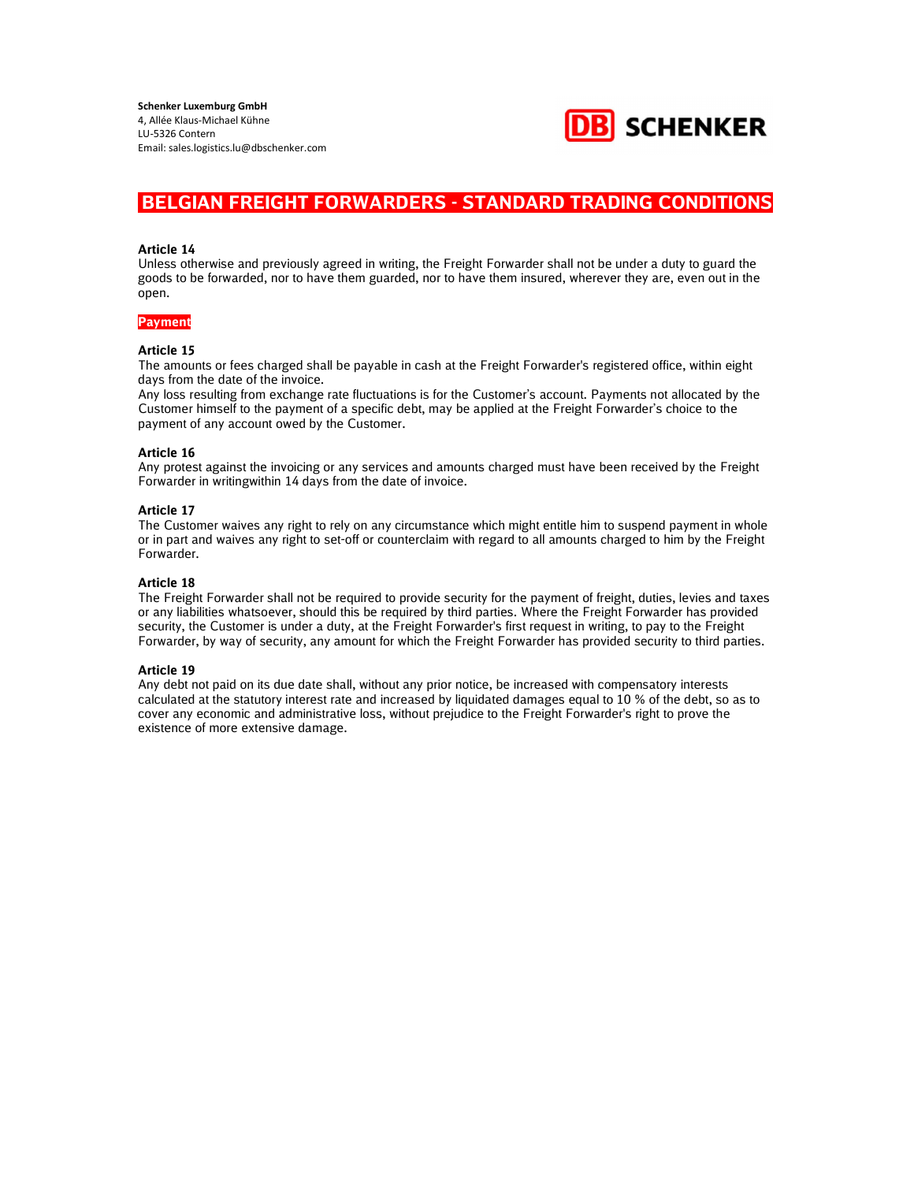

#### Article 14

Unless otherwise and previously agreed in writing, the Freight Forwarder shall not be under a duty to guard the goods to be forwarded, nor to have them guarded, nor to have them insured, wherever they are, even out in the open.

## Payment

#### Article 15

The amounts or fees charged shall be payable in cash at the Freight Forwarder's registered office, within eight days from the date of the invoice.

Any loss resulting from exchange rate fluctuations is for the Customer's account. Payments not allocated by the Customer himself to the payment of a specific debt, may be applied at the Freight Forwarder's choice to the payment of any account owed by the Customer.

#### Article 16

Any protest against the invoicing or any services and amounts charged must have been received by the Freight Forwarder in writingwithin 14 days from the date of invoice.

#### Article 17

The Customer waives any right to rely on any circumstance which might entitle him to suspend payment in whole or in part and waives any right to set-off or counterclaim with regard to all amounts charged to him by the Freight Forwarder.

## Article 18

The Freight Forwarder shall not be required to provide security for the payment of freight, duties, levies and taxes or any liabilities whatsoever, should this be required by third parties. Where the Freight Forwarder has provided security, the Customer is under a duty, at the Freight Forwarder's first request in writing, to pay to the Freight Forwarder, by way of security, any amount for which the Freight Forwarder has provided security to third parties.

#### Article 19

Any debt not paid on its due date shall, without any prior notice, be increased with compensatory interests calculated at the statutory interest rate and increased by liquidated damages equal to 10 % of the debt, so as to cover any economic and administrative loss, without prejudice to the Freight Forwarder's right to prove the existence of more extensive damage.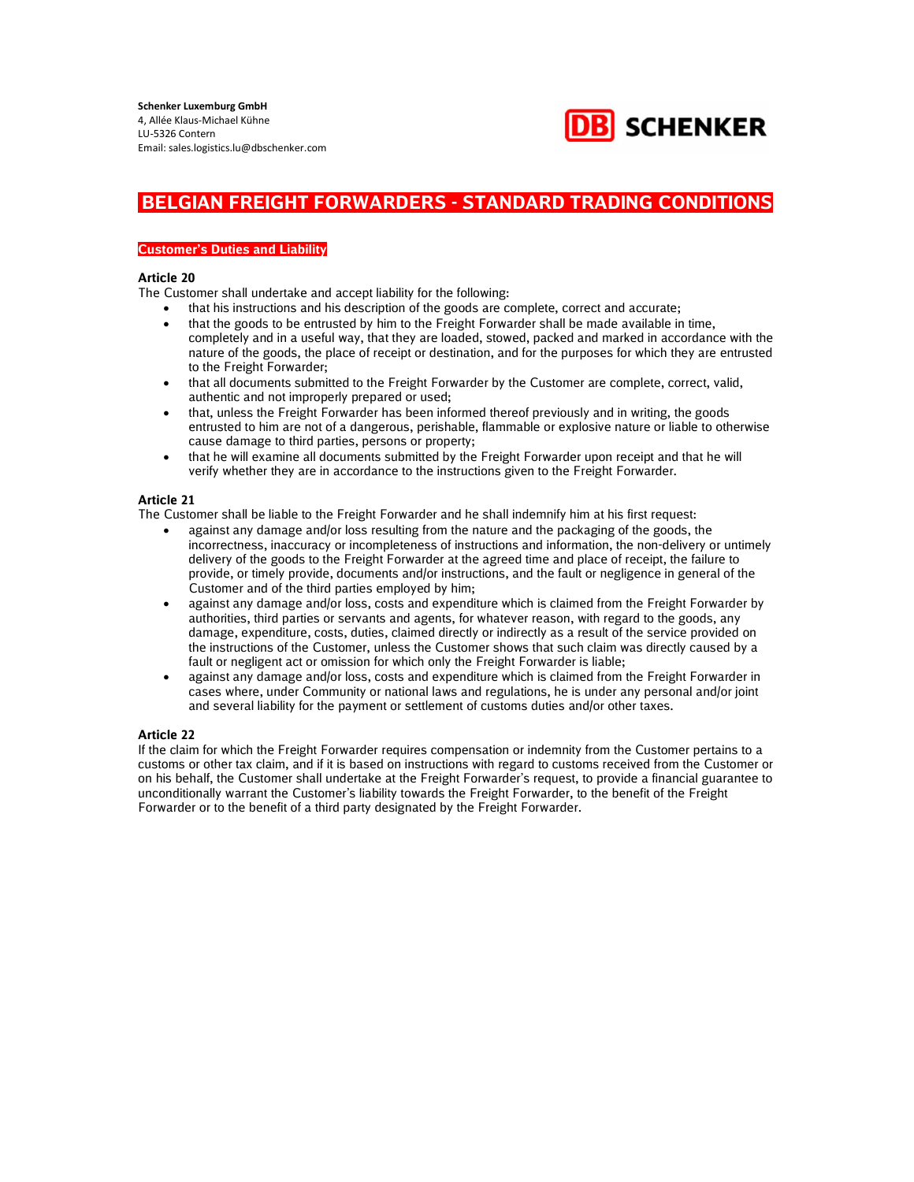

## Customer's Duties and Liability

#### Article 20

The Customer shall undertake and accept liability for the following:

- that his instructions and his description of the goods are complete, correct and accurate;
- that the goods to be entrusted by him to the Freight Forwarder shall be made available in time, completely and in a useful way, that they are loaded, stowed, packed and marked in accordance with the nature of the goods, the place of receipt or destination, and for the purposes for which they are entrusted to the Freight Forwarder;
- that all documents submitted to the Freight Forwarder by the Customer are complete, correct, valid, authentic and not improperly prepared or used;
- that, unless the Freight Forwarder has been informed thereof previously and in writing, the goods entrusted to him are not of a dangerous, perishable, flammable or explosive nature or liable to otherwise cause damage to third parties, persons or property;
- that he will examine all documents submitted by the Freight Forwarder upon receipt and that he will verify whether they are in accordance to the instructions given to the Freight Forwarder.

## Article 21

The Customer shall be liable to the Freight Forwarder and he shall indemnify him at his first request:

- against any damage and/or loss resulting from the nature and the packaging of the goods, the incorrectness, inaccuracy or incompleteness of instructions and information, the non-delivery or untimely delivery of the goods to the Freight Forwarder at the agreed time and place of receipt, the failure to provide, or timely provide, documents and/or instructions, and the fault or negligence in general of the Customer and of the third parties employed by him;
- against any damage and/or loss, costs and expenditure which is claimed from the Freight Forwarder by authorities, third parties or servants and agents, for whatever reason, with regard to the goods, any damage, expenditure, costs, duties, claimed directly or indirectly as a result of the service provided on the instructions of the Customer, unless the Customer shows that such claim was directly caused by a fault or negligent act or omission for which only the Freight Forwarder is liable;
- against any damage and/or loss, costs and expenditure which is claimed from the Freight Forwarder in cases where, under Community or national laws and regulations, he is under any personal and/or joint and several liability for the payment or settlement of customs duties and/or other taxes.

## Article 22

If the claim for which the Freight Forwarder requires compensation or indemnity from the Customer pertains to a customs or other tax claim, and if it is based on instructions with regard to customs received from the Customer or on his behalf, the Customer shall undertake at the Freight Forwarder's request, to provide a financial guarantee to unconditionally warrant the Customer's liability towards the Freight Forwarder, to the benefit of the Freight Forwarder or to the benefit of a third party designated by the Freight Forwarder.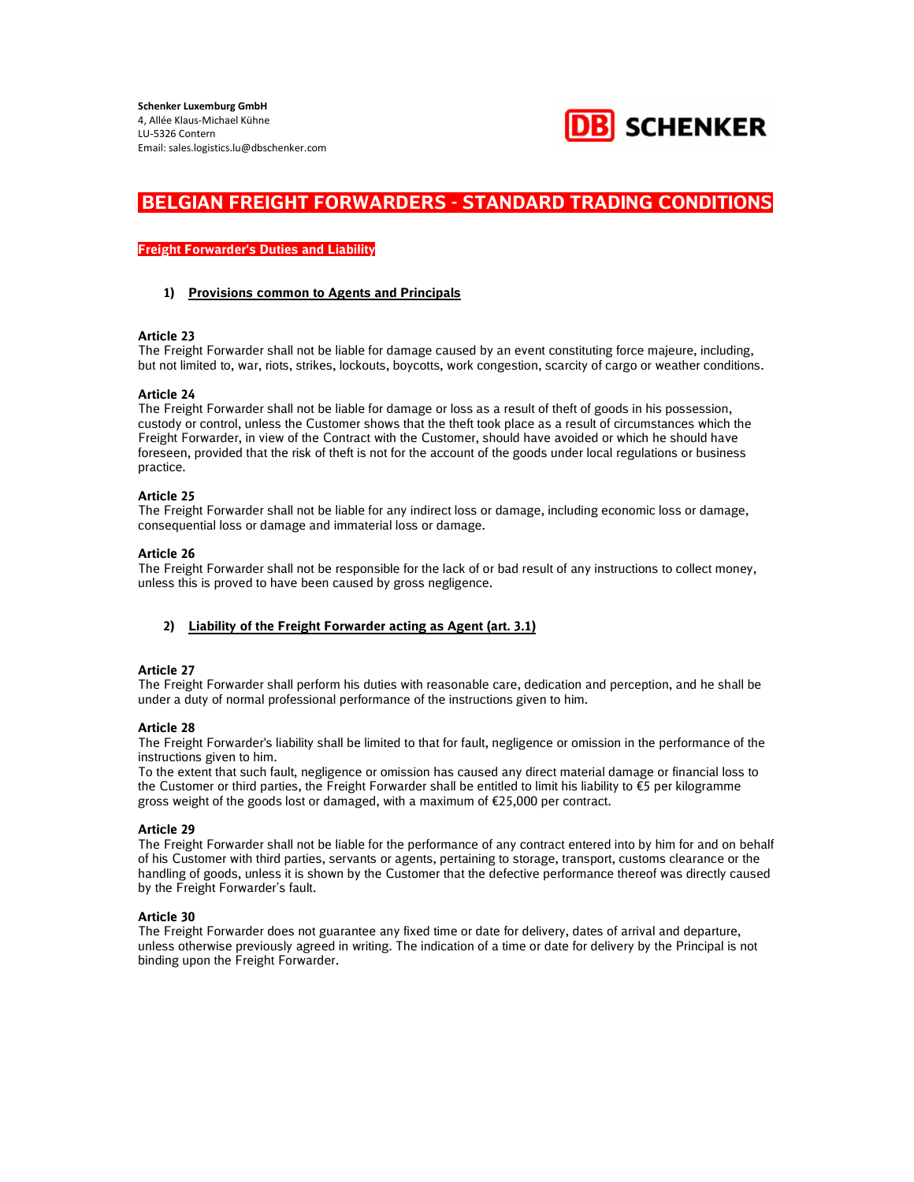

## Freight Forwarder's Duties and Liability

## 1) Provisions common to Agents and Principals

## Article 23

The Freight Forwarder shall not be liable for damage caused by an event constituting force majeure, including, but not limited to, war, riots, strikes, lockouts, boycotts, work congestion, scarcity of cargo or weather conditions.

## Article 24

The Freight Forwarder shall not be liable for damage or loss as a result of theft of goods in his possession, custody or control, unless the Customer shows that the theft took place as a result of circumstances which the Freight Forwarder, in view of the Contract with the Customer, should have avoided or which he should have foreseen, provided that the risk of theft is not for the account of the goods under local regulations or business practice.

## Article 25

The Freight Forwarder shall not be liable for any indirect loss or damage, including economic loss or damage, consequential loss or damage and immaterial loss or damage.

## Article 26

The Freight Forwarder shall not be responsible for the lack of or bad result of any instructions to collect money, unless this is proved to have been caused by gross negligence.

## 2) Liability of the Freight Forwarder acting as Agent (art. 3.1)

## Article 27

The Freight Forwarder shall perform his duties with reasonable care, dedication and perception, and he shall be under a duty of normal professional performance of the instructions given to him.

## Article 28

The Freight Forwarder's liability shall be limited to that for fault, negligence or omission in the performance of the instructions given to him.

To the extent that such fault, negligence or omission has caused any direct material damage or financial loss to the Customer or third parties, the Freight Forwarder shall be entitled to limit his liability to €5 per kilogramme gross weight of the goods lost or damaged, with a maximum of €25,000 per contract.

## Article 29

The Freight Forwarder shall not be liable for the performance of any contract entered into by him for and on behalf of his Customer with third parties, servants or agents, pertaining to storage, transport, customs clearance or the handling of goods, unless it is shown by the Customer that the defective performance thereof was directly caused by the Freight Forwarder's fault.

## Article 30

The Freight Forwarder does not guarantee any fixed time or date for delivery, dates of arrival and departure, unless otherwise previously agreed in writing. The indication of a time or date for delivery by the Principal is not binding upon the Freight Forwarder.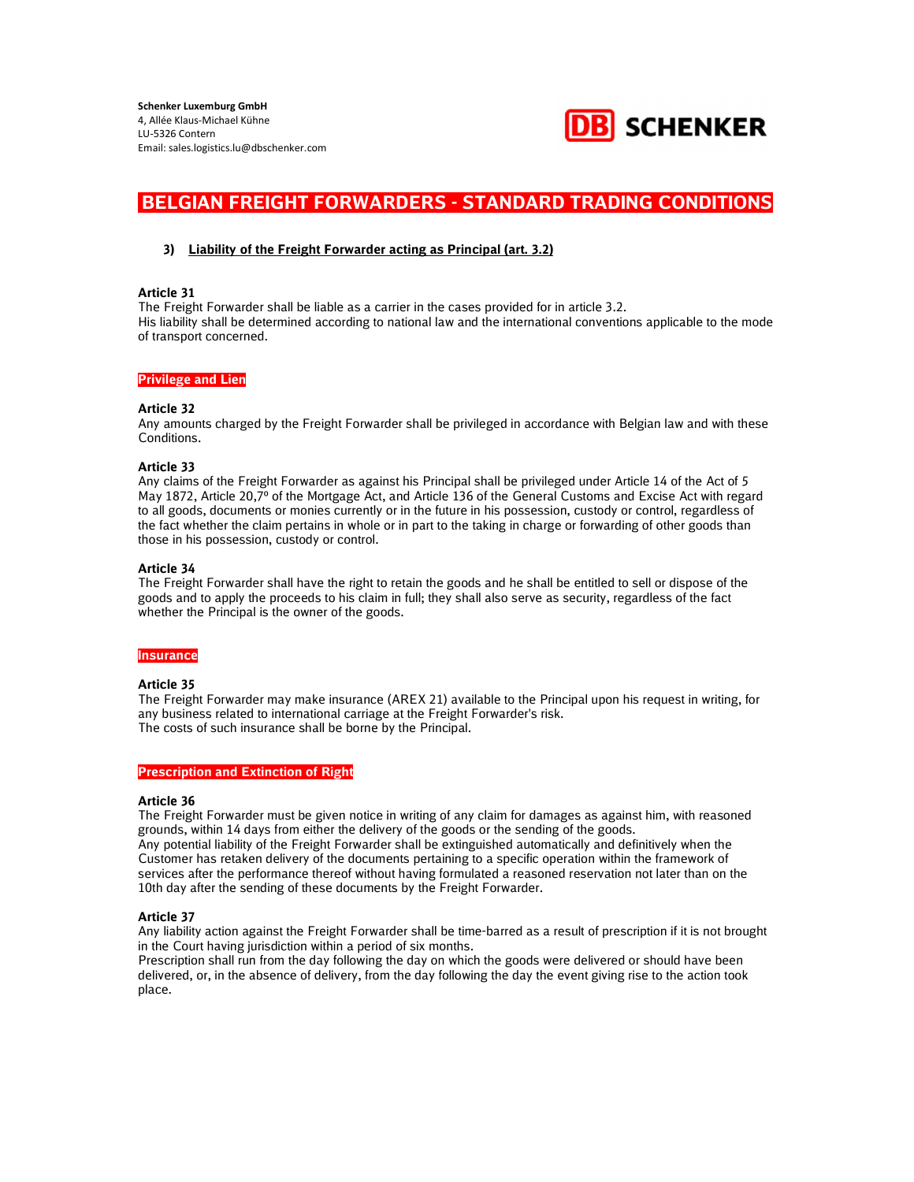

## 3) Liability of the Freight Forwarder acting as Principal (art. 3.2)

#### Article 31

The Freight Forwarder shall be liable as a carrier in the cases provided for in article 3.2. His liability shall be determined according to national law and the international conventions applicable to the mode of transport concerned.

#### Privilege and Lien

#### Article 32

Any amounts charged by the Freight Forwarder shall be privileged in accordance with Belgian law and with these Conditions.

#### Article 33

Any claims of the Freight Forwarder as against his Principal shall be privileged under Article 14 of the Act of 5 May 1872, Article 20,7º of the Mortgage Act, and Article 136 of the General Customs and Excise Act with regard to all goods, documents or monies currently or in the future in his possession, custody or control, regardless of the fact whether the claim pertains in whole or in part to the taking in charge or forwarding of other goods than those in his possession, custody or control.

#### Article 34

The Freight Forwarder shall have the right to retain the goods and he shall be entitled to sell or dispose of the goods and to apply the proceeds to his claim in full; they shall also serve as security, regardless of the fact whether the Principal is the owner of the goods.

## **Insurance**

## Article 35

The Freight Forwarder may make insurance (AREX 21) available to the Principal upon his request in writing, for any business related to international carriage at the Freight Forwarder's risk. The costs of such insurance shall be borne by the Principal.

#### Prescription and Extinction of Right

#### Article 36

The Freight Forwarder must be given notice in writing of any claim for damages as against him, with reasoned grounds, within 14 days from either the delivery of the goods or the sending of the goods. Any potential liability of the Freight Forwarder shall be extinguished automatically and definitively when the Customer has retaken delivery of the documents pertaining to a specific operation within the framework of services after the performance thereof without having formulated a reasoned reservation not later than on the 10th day after the sending of these documents by the Freight Forwarder.

## Article 37

Any liability action against the Freight Forwarder shall be time-barred as a result of prescription if it is not brought in the Court having jurisdiction within a period of six months.

Prescription shall run from the day following the day on which the goods were delivered or should have been delivered, or, in the absence of delivery, from the day following the day the event giving rise to the action took place.